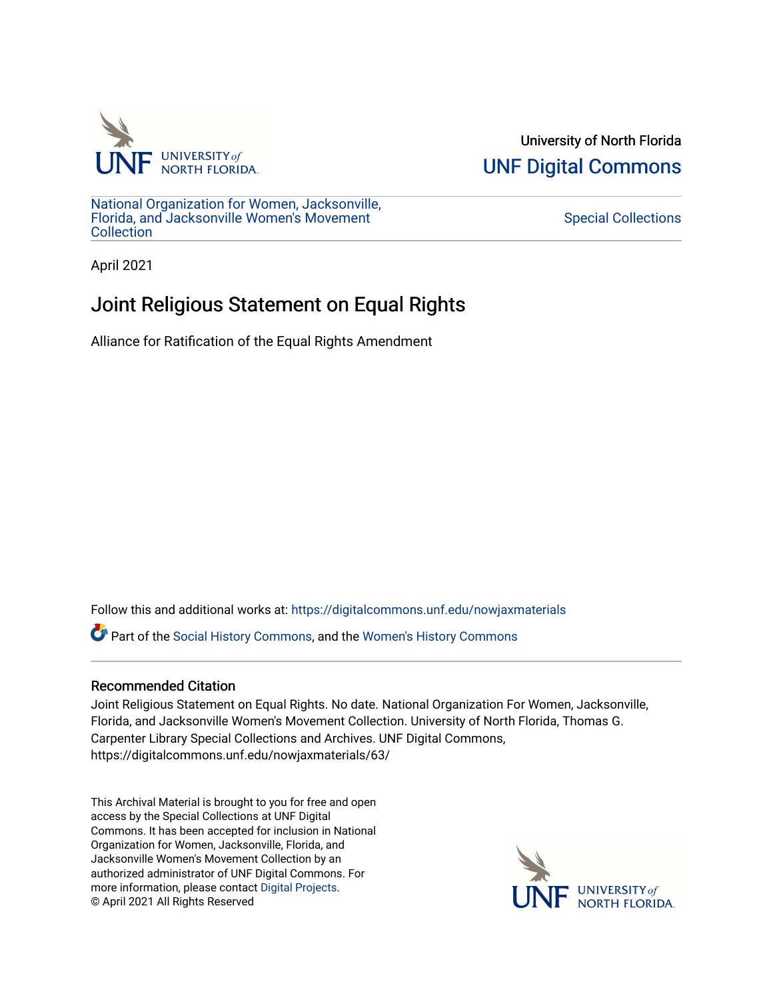

University of North Florida [UNF Digital Commons](https://digitalcommons.unf.edu/) 

[National Organization for Women, Jacksonville,](https://digitalcommons.unf.edu/nowjaxmaterials) [Florida, and Jacksonville Women's Movement](https://digitalcommons.unf.edu/nowjaxmaterials) **Collection** 

[Special Collections](https://digitalcommons.unf.edu/special_collections) 

April 2021

## Joint Religious Statement on Equal Rights

Alliance for Ratification of the Equal Rights Amendment

Follow this and additional works at: [https://digitalcommons.unf.edu/nowjaxmaterials](https://digitalcommons.unf.edu/nowjaxmaterials?utm_source=digitalcommons.unf.edu%2Fnowjaxmaterials%2F63&utm_medium=PDF&utm_campaign=PDFCoverPages) 

Part of the [Social History Commons](http://network.bepress.com/hgg/discipline/506?utm_source=digitalcommons.unf.edu%2Fnowjaxmaterials%2F63&utm_medium=PDF&utm_campaign=PDFCoverPages), and the [Women's History Commons](http://network.bepress.com/hgg/discipline/507?utm_source=digitalcommons.unf.edu%2Fnowjaxmaterials%2F63&utm_medium=PDF&utm_campaign=PDFCoverPages)

## Recommended Citation

Joint Religious Statement on Equal Rights. No date. National Organization For Women, Jacksonville, Florida, and Jacksonville Women's Movement Collection. University of North Florida, Thomas G. Carpenter Library Special Collections and Archives. UNF Digital Commons, https://digitalcommons.unf.edu/nowjaxmaterials/63/

This Archival Material is brought to you for free and open access by the Special Collections at UNF Digital Commons. It has been accepted for inclusion in National Organization for Women, Jacksonville, Florida, and Jacksonville Women's Movement Collection by an authorized administrator of UNF Digital Commons. For more information, please contact [Digital Projects](mailto:lib-digital@unf.edu). © April 2021 All Rights Reserved